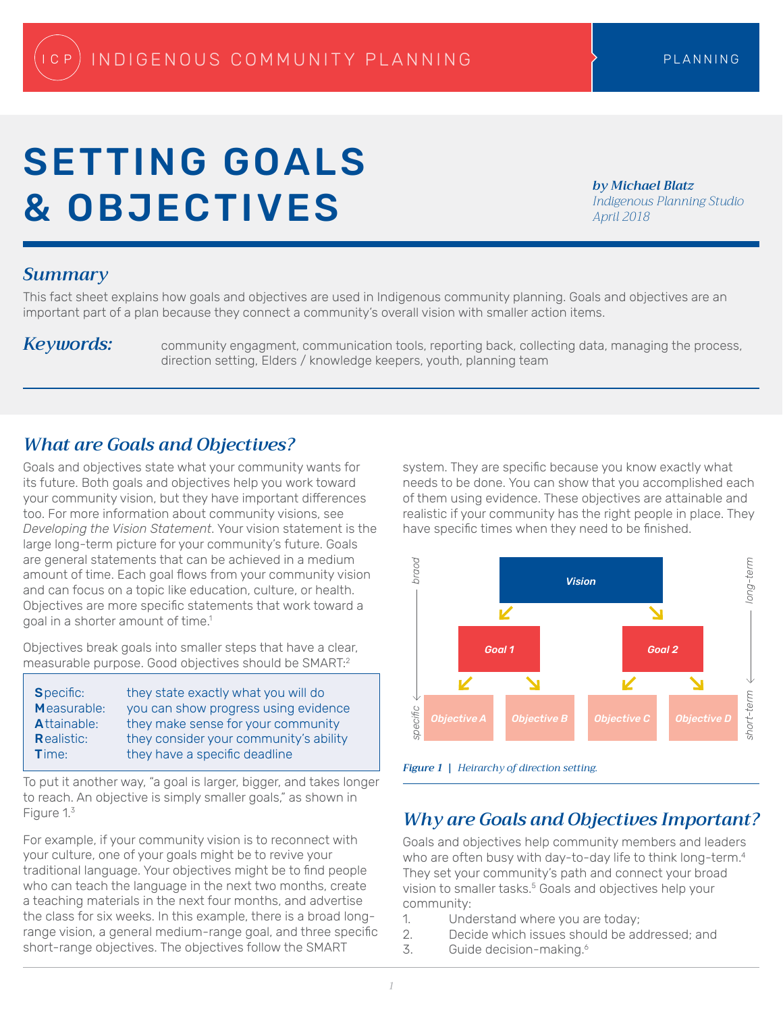# SETTING GOALS & OBJECTIVES

*by Michael Blatz Indigenous Planning Studio April 2018*

## *Summary*

This fact sheet explains how goals and objectives are used in Indigenous community planning. Goals and objectives are an important part of a plan because they connect a community's overall vision with smaller action items.

*Keywords:* community engagment, communication tools, reporting back, collecting data, managing the process, direction setting, Elders / knowledge keepers, youth, planning team

# *What are Goals and Objectives?*

Goals and objectives state what your community wants for its future. Both goals and objectives help you work toward your community vision, but they have important differences too. For more information about community visions, see *Developing the Vision Statement*. Your vision statement is the large long-term picture for your community's future. Goals are general statements that can be achieved in a medium amount of time. Each goal flows from your community vision and can focus on a topic like education, culture, or health. Objectives are more specific statements that work toward a goal in a shorter amount of time.<sup>1</sup>

Objectives break goals into smaller steps that have a clear, measurable purpose. Good objectives should be SMART:<sup>2</sup>

| <b>Specific:</b>  | they state exactly what you will do    |
|-------------------|----------------------------------------|
| Measurable:       | you can show progress using evidence   |
| Attainable:       | they make sense for your community     |
| <b>Realistic:</b> | they consider your community's ability |
| <b>Time:</b>      | they have a specific deadline          |

To put it another way, "a goal is larger, bigger, and takes longer to reach. An objective is simply smaller goals," as shown in Figure 1.3

For example, if your community vision is to reconnect with your culture, one of your goals might be to revive your traditional language. Your objectives might be to find people who can teach the language in the next two months, create a teaching materials in the next four months, and advertise the class for six weeks. In this example, there is a broad longrange vision, a general medium-range goal, and three specific short-range objectives. The objectives follow the SMART

system. They are specific because you know exactly what needs to be done. You can show that you accomplished each of them using evidence. These objectives are attainable and realistic if your community has the right people in place. They have specific times when they need to be finished.



*Figure 1 | Heirarchy of direction setting.* 

## *Why are Goals and Objectives Important?*

Goals and objectives help community members and leaders who are often busy with day-to-day life to think long-term.<sup>4</sup> They set your community's path and connect your broad vision to smaller tasks.<sup>5</sup> Goals and objectives help your community:

- 1. Understand where you are today;
- 2. Decide which issues should be addressed; and
- 3. Guide decision-making.6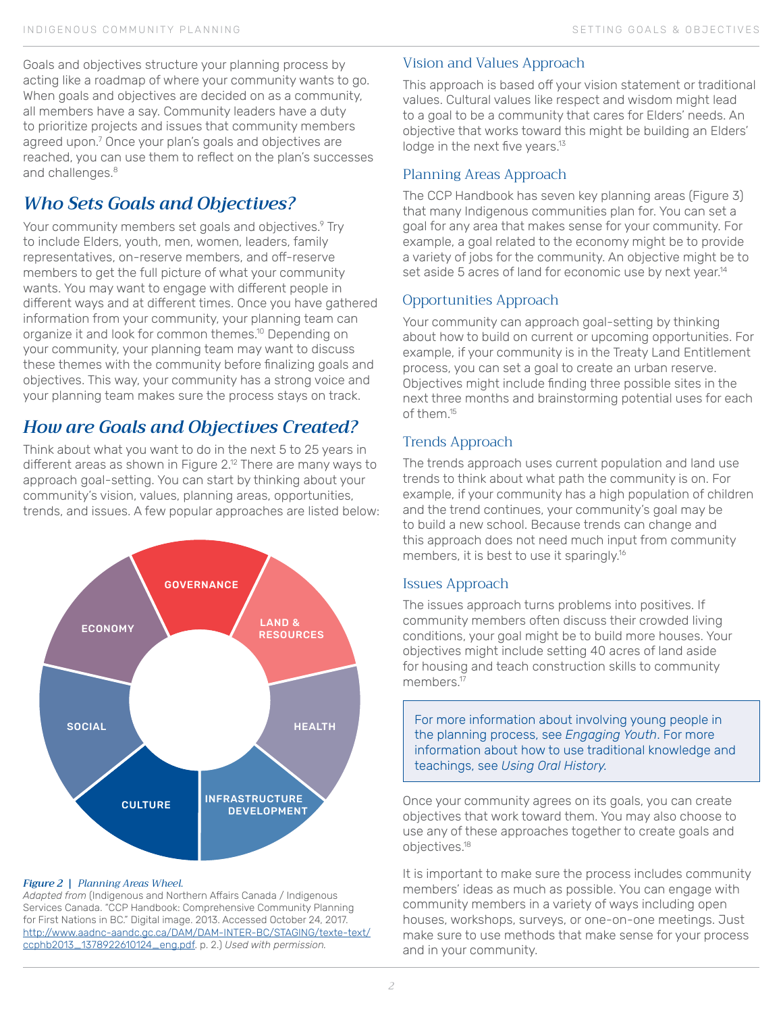Goals and objectives structure your planning process by acting like a roadmap of where your community wants to go. When goals and objectives are decided on as a community, all members have a say. Community leaders have a duty to prioritize projects and issues that community members agreed upon.7 Once your plan's goals and objectives are reached, you can use them to reflect on the plan's successes and challenges.<sup>8</sup>

# *Who Sets Goals and Objectives?*

Your community members set goals and objectives.<sup>9</sup> Try to include Elders, youth, men, women, leaders, family representatives, on-reserve members, and off-reserve members to get the full picture of what your community wants. You may want to engage with different people in different ways and at different times. Once you have gathered information from your community, your planning team can organize it and look for common themes.<sup>10</sup> Depending on your community, your planning team may want to discuss these themes with the community before finalizing goals and objectives. This way, your community has a strong voice and your planning team makes sure the process stays on track.

# *How are Goals and Objectives Created?*

Think about what you want to do in the next 5 to 25 years in different areas as shown in Figure 2.<sup>12</sup> There are many ways to approach goal-setting. You can start by thinking about your community's vision, values, planning areas, opportunities, trends, and issues. A few popular approaches are listed below:



#### *Figure 2 | Planning Areas Wheel.*

*Adapted from* (Indigenous and Northern Affairs Canada / Indigenous Services Canada. "CCP Handbook: Comprehensive Community Planning for First Nations in BC." Digital image. 2013. Accessed October 24, 2017. http://www.aadnc-aandc.gc.ca/DAM/DAM-INTER-BC/STAGING/texte-text/ ccphb2013\_1378922610124\_eng.pdf. p. 2.) *Used with permission.*

## Vision and Values Approach

This approach is based off your vision statement or traditional values. Cultural values like respect and wisdom might lead to a goal to be a community that cares for Elders' needs. An objective that works toward this might be building an Elders' lodge in the next five years.<sup>13</sup>

#### Planning Areas Approach

The CCP Handbook has seven key planning areas (Figure 3) that many Indigenous communities plan for. You can set a goal for any area that makes sense for your community. For example, a goal related to the economy might be to provide a variety of jobs for the community. An objective might be to set aside 5 acres of land for economic use by next year.<sup>14</sup>

#### Opportunities Approach

Your community can approach goal-setting by thinking about how to build on current or upcoming opportunities. For example, if your community is in the Treaty Land Entitlement process, you can set a goal to create an urban reserve. Objectives might include finding three possible sites in the next three months and brainstorming potential uses for each of them.15

### Trends Approach

The trends approach uses current population and land use trends to think about what path the community is on. For example, if your community has a high population of children and the trend continues, your community's goal may be to build a new school. Because trends can change and this approach does not need much input from community members, it is best to use it sparingly.16

#### Issues Approach

The issues approach turns problems into positives. If community members often discuss their crowded living conditions, your goal might be to build more houses. Your objectives might include setting 40 acres of land aside for housing and teach construction skills to community members.<sup>17</sup>

For more information about involving young people in the planning process, see *Engaging Youth*. For more information about how to use traditional knowledge and teachings, see *Using Oral History.*

Once your community agrees on its goals, you can create objectives that work toward them. You may also choose to use any of these approaches together to create goals and objectives.18

It is important to make sure the process includes community members' ideas as much as possible. You can engage with community members in a variety of ways including open houses, workshops, surveys, or one-on-one meetings. Just make sure to use methods that make sense for your process and in your community.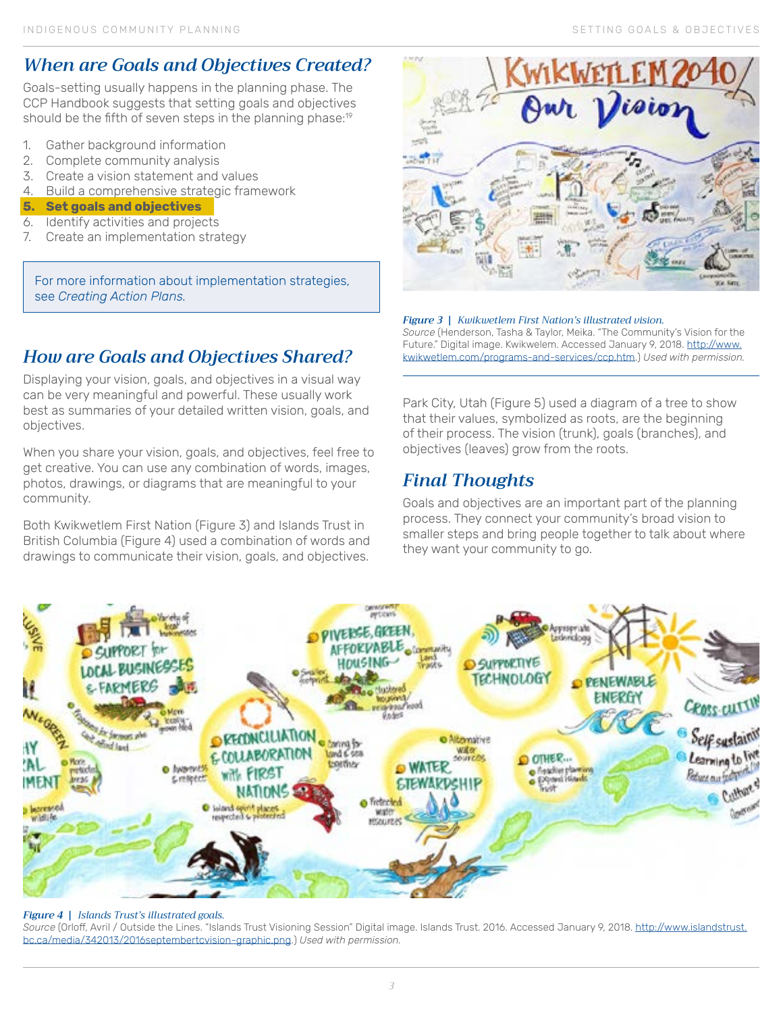# *When are Goals and Objectives Created?*

Goals-setting usually happens in the planning phase. The CCP Handbook suggests that setting goals and objectives should be the fifth of seven steps in the planning phase:<sup>19</sup>

- 1. Gather background information
- 2. Complete community analysis
- 3. Create a vision statement and values
- 4. Build a comprehensive strategic framework
- **5. Set goals and objectives**
- 6. Identify activities and projects
- 7. Create an implementation strategy

For more information about implementation strategies, see *Creating Action Plans.*

# *How are Goals and Objectives Shared?*

Displaying your vision, goals, and objectives in a visual way can be very meaningful and powerful. These usually work best as summaries of your detailed written vision, goals, and objectives.

When you share your vision, goals, and objectives, feel free to get creative. You can use any combination of words, images, photos, drawings, or diagrams that are meaningful to your community.

Both Kwikwetlem First Nation (Figure 3) and Islands Trust in British Columbia (Figure 4) used a combination of words and drawings to communicate their vision, goals, and objectives.



#### *Figure 3 | Kwikwetlem First Nation's illustrated vision. Source* (Henderson, Tasha & Taylor, Meika. "The Community's Vision for the Future." Digital image. Kwikwelem. Accessed January 9, 2018. http://www. kwikwetlem.com/programs-and-services/ccp.htm.) *Used with permission.*

Park City, Utah (Figure 5) used a diagram of a tree to show that their values, symbolized as roots, are the beginning of their process. The vision (trunk), goals (branches), and objectives (leaves) grow from the roots.

# *Final Thoughts*

Goals and objectives are an important part of the planning process. They connect your community's broad vision to smaller steps and bring people together to talk about where they want your community to go.



#### *Figure 4 | Islands Trust's illustrated goals.*

*Source* (Orloff, Avril / Outside the Lines. "Islands Trust Visioning Session" Digital image. Islands Trust. 2016. Accessed January 9, 2018. [http://www.islandstrust.](http://www.islandstrust.bc.ca/media/342013/2016septembertcvision-graphic.png) [bc.ca/media/342013/2016septembertcvision-graphic.png.](http://www.islandstrust.bc.ca/media/342013/2016septembertcvision-graphic.png)) *Used with permission.*